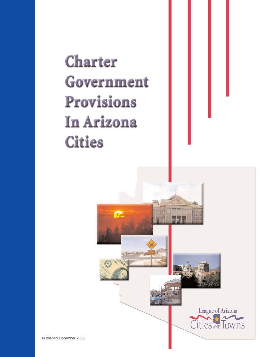# **Charter Government Provisions In Arizona Cities**

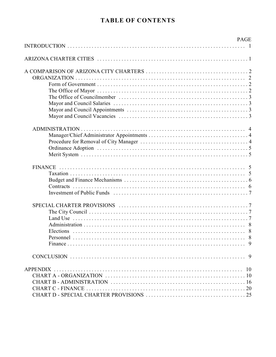# **TABLE OF CONTENTS**

| <b>PAGE</b> |
|-------------|
|             |
|             |
|             |
|             |
|             |
|             |
|             |
|             |
|             |
|             |
|             |
|             |
|             |
|             |
|             |
|             |
|             |
|             |
|             |
|             |
|             |
|             |
|             |
|             |
|             |
|             |
|             |
|             |
|             |
|             |
|             |
|             |
|             |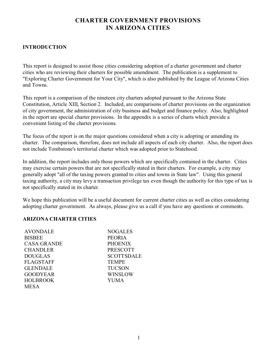# **CHARTER GOVERNMENT PROVISIONS IN ARIZONA CITIES**

#### **INTRODUCTION**

This report is designed to assist those cities considering adoption of a charter government and charter cities who are reviewing their charters for possible amendment. The publication is a supplement to "Exploring Charter Government for Your City", which is also published by the League of Arizona Cities and Towns.

This report is a comparison of the nineteen city charters adopted pursuant to the Arizona State Constitution, Article XIII, Section 2. Included, are comparisons of charter provisions on the organization of city government, the administration of city business and budget and finance policy. Also, highlighted in the report are special charter provisions. In the appendix is a series of charts which provide a convenient listing of the charter provisions.

The focus of the report is on the major questions considered when a city is adopting or amending its charter. The comparison, therefore, does not include all aspects of each city charter. Also, the report does not include Tombstone's territorial charter which was adopted prior to Statehood.

In addition, the report includes only those powers which are specifically contained in the charter. Cities may exercise certain powers that are not specifically stated in their charters. For example, a city may generally adopt "all of the taxing powers granted to cities and towns in State law". Using this general taxing authority, a city may levy a transaction privilege tax even though the authority for this type of tax is not specifically stated in its charter.

We hope this publication will be a useful document for current charter cities as well as cities considering adopting charter government. As always, please give us a call if you have any questions or comments.

#### **ARIZONA CHARTER CITIES**

| AVONDALE           | <b>NOGALES</b>    |
|--------------------|-------------------|
| <b>BISBEE</b>      | <b>PEORIA</b>     |
| <b>CASA GRANDE</b> | <b>PHOENIX</b>    |
| <b>CHANDLER</b>    | <b>PRESCOTT</b>   |
| <b>DOUGLAS</b>     | <b>SCOTTSDALE</b> |
| <b>FLAGSTAFF</b>   | <b>TEMPE</b>      |
| <b>GLENDALE</b>    | <b>TUCSON</b>     |
| <b>GOODYEAR</b>    | WINSLOW           |
| <b>HOLBROOK</b>    | <b>YUMA</b>       |
| <b>MESA</b>        |                   |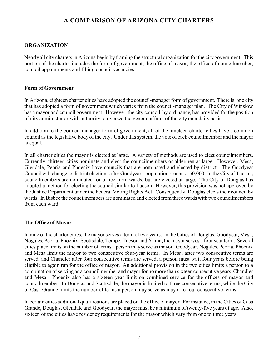# **A COMPARISON OF ARIZONA CITY CHARTERS**

#### **ORGANIZATION**

Nearly all city charters in Arizona begin by framing the structural organization for the city government. This portion of the charter includes the form of government, the office of mayor, the office of councilmember, council appointments and filling council vacancies.

#### **Form of Government**

In Arizona, eighteen charter cities have adopted the council-manager form of government. There is one city that has adopted a form of government which varies from the council-manager plan. The City of Winslow has a mayor and council government. However, the city council, by ordinance, has provided for the position of city administrator with authority to oversee the general affairs of the city on a daily basis.

In addition to the council-manager form of government, all of the nineteen charter cities have a common council as the legislative body of the city. Under this system, the vote of each councilmember and the mayor is equal.

In all charter cities the mayor is elected at large. A variety of methods are used to elect councilmembers. Currently, thirteen cities nominate and elect the councilmembers or aldermen at large. However, Mesa, Glendale, Peoria and Phoenix have councils that are nominated and elected by district. The Goodyear Council will change to district elections after Goodyear's population reaches 150,000. In the City of Tucson, councilmembers are nominated for office from wards, but are elected at large. The City of Douglas has adopted a method for electing the council similar to Tucson. However, this provision was not approved by the Justice Department under the Federal Voting Rights Act. Consequently, Douglas elects their council by wards. In Bisbee the councilmembers are nominated and elected from three wards with two councilmembers from each ward.

#### **The Office of Mayor**

In nine of the charter cities, the mayor serves a term of two years. In the Cities of Douglas, Goodyear, Mesa, Nogales, Peoria, Phoenix, Scottsdale, Tempe, Tucson and Yuma, the mayor serves a four year term. Several cities place limits on the number of terms a person may serve as mayor. Goodyear, Nogales, Peoria, Phoenix and Mesa limit the mayor to two consecutive four-year terms. In Mesa, after two consecutive terms are served, and Chandler after four consecutive terms are served, a person must wait four years before being eligible to again run for the office of mayor. An additional provision in the two cities limits a person to a combination of serving as a councilmember and mayor for no more than sixteen consecutive years, Chandler and Mesa. Phoenix also has a sixteen year limit on combined service for the offices of mayor and councilmember. In Douglas and Scottsdale, the mayor is limited to three consecutive terms, while the City of Casa Grande limits the number of terms a person may serve as mayor to four consecutive terms.

In certain cities additional qualifications are placed on the office of mayor. For instance, in the Cities of Casa Grande, Douglas, Glendale and Goodyear, the mayor must be a minimum of twenty-five years of age. Also, sixteen of the cities have residency requirements for the mayor which vary from one to three years.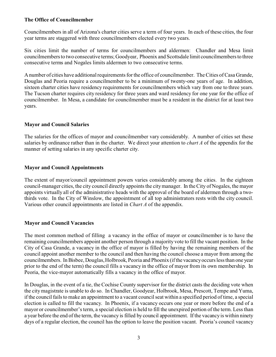#### **The Office of Councilmember**

Councilmembers in all of Arizona's charter cities serve a term of four years. In each of these cities, the four year terms are staggered with three councilmembers elected every two years.

Six cities limit the number of terms for councilmembers and aldermen: Chandler and Mesa limit councilmembers to two consecutive terms; Goodyear, Phoenix and Scottsdale limit councilmembers to three consecutive terms and Nogales limits aldermen to two consecutive terms.

A number of cities have additional requirements for the office of councilmember. The Cities of Casa Grande, Douglas and Peoria require a councilmember to be a minimum of twenty-one years of age. In addition, sixteen charter cities have residency requirements for councilmembers which vary from one to three years. The Tucson charter requires city residency for three years and ward residency for one year for the office of councilmember. In Mesa, a candidate for councilmember must be a resident in the district for at least two years.

#### **Mayor and Council Salaries**

The salaries for the offices of mayor and councilmember vary considerably. A number of cities set these salaries by ordinance rather than in the charter. We direct your attention to *chart A* of the appendix for the manner of setting salaries in any specific charter city.

#### **Mayor and Council Appointments**

The extent of mayor/council appointment powers varies considerably among the cities. In the eighteen council-manager cities, the city council directly appoints the city manager. In the City of Nogales, the mayor appoints virtually all of the administrative heads with the approval of the board of aldermen through a twothirds vote. In the City of Winslow, the appointment of all top administrators rests with the city council. Various other council appointments are listed in *Chart A* of the appendix.

#### **Mayor and Council Vacancies**

The most common method of filling a vacancy in the office of mayor or councilmember is to have the remaining councilmembers appoint another person through a majority vote to fill the vacant position. In the City of Casa Grande, a vacancy in the office of mayor is filled by having the remaining members of the council appoint another member to the council and then having the council choose a mayor from among the councilmembers. In Bisbee, Douglas, Holbrook, Peoria and Phoenix (if the vacancy occurs less than one year prior to the end of the term) the council fills a vacancy in the office of mayor from its own membership. In Peoria, the vice-mayor automatically fills a vacancy in the office of mayor.

In Douglas, in the event of a tie, the Cochise County supervisor for the district casts the deciding vote when the city magistrate is unable to do so. In Chandler, Goodyear, Holbrook, Mesa, Prescott, Tempe and Yuma, if the council fails to make an appointment to a vacant council seat within a specified period of time, a special election is called to fill the vacancy. In Phoenix, if a vacancy occurs one year or more before the end of a mayor or councilmember's term, a special election is held to fill the unexpired portion of the term. Less than a year before the end of the term, the vacancy is filled by council appointment. If the vacancy is within ninety days of a regular election, the council has the option to leave the position vacant. Peoria's council vacancy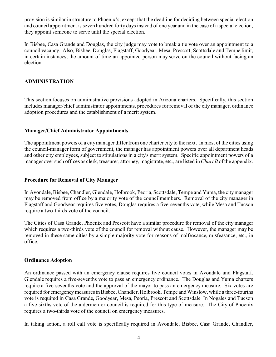provision is similar in structure to Phoenix's, except that the deadline for deciding between special election and council appointment is seven hundred forty days instead of one year and in the case of a special election, they appoint someone to serve until the special election.

In Bisbee, Casa Grande and Douglas, the city judge may vote to break a tie vote over an appointment to a council vacancy. Also, Bisbee, Douglas, Flagstaff, Goodyear, Mesa, Prescott, Scottsdale and Tempe limit, in certain instances, the amount of time an appointed person may serve on the council without facing an election.

#### **ADMINISTRATION**

This section focuses on administrative provisions adopted in Arizona charters. Specifically, this section includes manager/chief administrator appointments, procedures for removal of the city manager, ordinance adoption procedures and the establishment of a merit system.

#### **Manager/Chief Administrator Appointments**

The appointment powers of a city manager differ from one charter city to the next. In most of the cities using the council-manager form of government, the manager has appointment powers over all department heads and other city employees, subject to stipulations in a city's merit system. Specific appointment powers of a manager over such offices as clerk, treasurer, attorney, magistrate, etc., are listed in *Chart B* of the appendix.

#### **Procedure for Removal of City Manager**

In Avondale, Bisbee, Chandler, Glendale, Holbrook, Peoria, Scottsdale, Tempe and Yuma, the city manager may be removed from office by a majority vote of the councilmembers. Removal of the city manager in Flagstaff and Goodyear requires five votes, Douglas requires a five-sevenths vote, while Mesa and Tucson require a two-thirds vote of the council.

The Cities of Casa Grande, Phoenix and Prescott have a similar procedure for removal of the city manager which requires a two-thirds vote of the council for removal without cause. However, the manager may be removed in these same cities by a simple majority vote for reasons of malfeasance, misfeasance, etc., in office.

#### **Ordinance Adoption**

An ordinance passed with an emergency clause requires five council votes in Avondale and Flagstaff. Glendale requires a five-sevenths vote to pass an emergency ordinance. The Douglas and Yuma charters require a five-sevenths vote and the approval of the mayor to pass an emergency measure. Six votes are required for emergency measures in Bisbee, Chandler, Holbrook, Tempe and Winslow, while a three-fourths vote is required in Casa Grande, Goodyear, Mesa, Peoria, Prescott and Scottsdale In Nogales and Tucson a five-sixths vote of the aldermen or council is required for this type of measure. The City of Phoenix requires a two-thirds vote of the council on emergency measures.

In taking action, a roll call vote is specifically required in Avondale, Bisbee, Casa Grande, Chandler,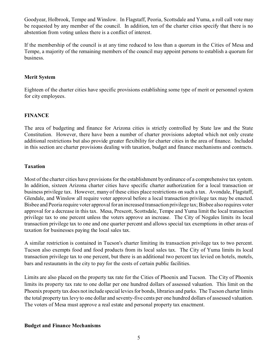Goodyear, Holbrook, Tempe and Winslow. In Flagstaff, Peoria, Scottsdale and Yuma, a roll call vote may be requested by any member of the council. In addition, ten of the charter cities specify that there is no abstention from voting unless there is a conflict of interest.

If the membership of the council is at any time reduced to less than a quorum in the Cities of Mesa and Tempe, a majority of the remaining members of the council may appoint persons to establish a quorum for business.

#### **Merit System**

Eighteen of the charter cities have specific provisions establishing some type of merit or personnel system for city employees.

#### **FINANCE**

The area of budgeting and finance for Arizona cities is strictly controlled by State law and the State Constitution. However, there have been a number of charter provisions adopted which not only create additional restrictions but also provide greater flexibility for charter cities in the area of finance. Included in this section are charter provisions dealing with taxation, budget and finance mechanisms and contracts.

#### **Taxation**

Most of the charter cities have provisions for the establishment by ordinance of a comprehensive tax system. In addition, sixteen Arizona charter cities have specific charter authorization for a local transaction or business privilege tax. However, many of these cities place restrictions on such a tax. Avondale, Flagstaff, Glendale, and Winslow all require voter approval before a local transaction privilege tax may be enacted. Bisbee and Peoria require voter approval for an increased transaction privilege tax; Bisbee also requires voter approval for a decrease in this tax. Mesa, Prescott, Scottsdale, Tempe and Yuma limit the local transaction privilege tax to one percent unless the voters approve an increase. The City of Nogales limits its local transaction privilege tax to one and one quarter percent and allows special tax exemptions in other areas of taxation for businesses paying the local sales tax.

A similar restriction is contained in Tucson's charter limiting its transaction privilege tax to two percent. Tucson also exempts food and food products from its local sales tax. The City of Yuma limits its local transaction privilege tax to one percent, but there is an additional two percent tax levied on hotels, motels, bars and restaurants in the city to pay for the costs of certain public facilities.

Limits are also placed on the property tax rate for the Cities of Phoenix and Tucson. The City of Phoenix limits its property tax rate to one dollar per one hundred dollars of assessed valuation. This limit on the Phoenix property tax does not include special levies for bonds, libraries and parks. The Tucson charter limits the total property tax levy to one dollar and seventy-five cents per one hundred dollars of assessed valuation. The voters of Mesa must approve a real estate and personal property tax enactment.

#### **Budget and Finance Mechanisms**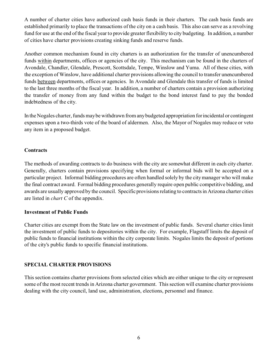A number of charter cities have authorized cash basis funds in their charters. The cash basis funds are established primarily to place the transactions of the city on a cash basis. This also can serve as a revolving fund for use at the end of the fiscal year to provide greater flexibility to city budgeting. In addition, a number of cities have charter provisions creating sinking funds and reserve funds.

Another common mechanism found in city charters is an authorization for the transfer of unencumbered funds within departments, offices or agencies of the city. This mechanism can be found in the charters of Avondale, Chandler, Glendale, Prescott, Scottsdale, Tempe, Winslow and Yuma. All of these cities, with the exception of Winslow, have additional charter provisions allowing the council to transfer unencumbered funds between departments, offices or agencies. In Avondale and Glendale this transfer of funds is limited to the last three months of the fiscal year. In addition, a number of charters contain a provision authorizing the transfer of money from any fund within the budget to the bond interest fund to pay the bonded indebtedness of the city.

In the Nogales charter, funds may be withdrawn from any budgeted appropriation for incidental or contingent expenses upon a two-thirds vote of the board of aldermen. Also, the Mayor of Nogales may reduce or veto any item in a proposed budget.

#### **Contracts**

The methods of awarding contracts to do business with the city are somewhat different in each city charter. Generally, charters contain provisions specifying when formal or informal bids will be accepted on a particular project. Informal bidding procedures are often handled solely by the city manager who will make the final contract award. Formal bidding procedures generally require open public competitive bidding, and awards are usually approved by the council. Specific provisions relating to contracts in Arizona charter cities are listed in *chart C* of the appendix.

#### **Investment of Public Funds**

Charter cities are exempt from the State law on the investment of public funds. Several charter cities limit the investment of public funds to depositories within the city. For example, Flagstaff limits the deposit of public funds to financial institutions within the city corporate limits. Nogales limits the deposit of portions of the city's public funds to specific financial institutions.

#### **SPECIAL CHARTER PROVISIONS**

This section contains charter provisions from selected cities which are either unique to the city or represent some of the most recent trends in Arizona charter government. This section will examine charter provisions dealing with the city council, land use, administration, elections, personnel and finance.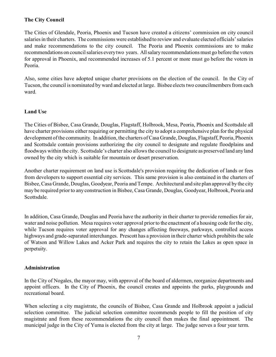#### **The City Council**

The Cities of Glendale, Peoria, Phoenix and Tucson have created a citizens' commission on city council salaries in their charters. The commissions were established to review and evaluate elected officials' salaries and make recommendations to the city council. The Peoria and Phoenix commissions are to make recommendations on council salaries every two years. All salary recommendations must go before the voters for approval in Phoenix, and recommended increases of 5.1 percent or more must go before the voters in Peoria.

Also, some cities have adopted unique charter provisions on the election of the council. In the City of Tucson, the council is nominated by ward and elected at large. Bisbee elects two councilmembers from each ward.

#### **Land Use**

The Cities of Bisbee, Casa Grande, Douglas, Flagstaff, Holbrook, Mesa, Peoria, Phoenix and Scottsdale all have charter provisions either requiring or permitting the city to adopt a comprehensive plan for the physical development of the community. In addition, the charters of Casa Grande, Douglas, Flagstaff, Peoria, Phoenix and Scottsdale contain provisions authorizing the city council to designate and regulate floodplains and floodways within the city. Scottsdale's charter also allows the council to designate as preserved land any land owned by the city which is suitable for mountain or desert preservation.

Another charter requirement on land use is Scottsdale's provision requiring the dedication of lands or fees from developers to support essential city services. This same provision is also contained in the charters of Bisbee, Casa Grande, Douglas, Goodyear, Peoria and Tempe. Architectural and site plan approval by the city may be required prior to any construction in Bisbee, Casa Grande, Douglas, Goodyear, Holbrook, Peoria and Scottsdale.

In addition, Casa Grande, Douglas and Peoria have the authority in their charter to provide remedies for air, water and noise pollution. Mesa requires voter approval prior to the enactment of a housing code for the city, while Tucson requires voter approval for any changes affecting freeways, parkways, controlled access highways and grade-separated interchanges. Prescott has a provision in their charter which prohibits the sale of Watson and Willow Lakes and Acker Park and requires the city to retain the Lakes as open space in perpetuity.

#### **Administration**

In the City of Nogales, the mayor may, with approval of the board of aldermen, reorganize departments and appoint officers. In the City of Phoenix, the council creates and appoints the parks, playgrounds and recreational board.

When selecting a city magistrate, the councils of Bisbee, Casa Grande and Holbrook appoint a judicial selection committee. The judicial selection committee recommends people to fill the position of city magistrate and from these recommendations the city council then makes the final appointment. The municipal judge in the City of Yuma is elected from the city at large. The judge serves a four year term.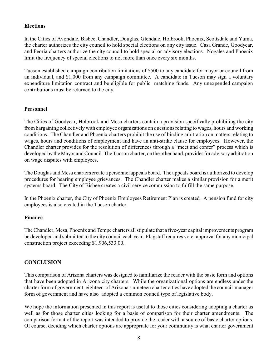#### **Elections**

In the Cities of Avondale, Bisbee, Chandler, Douglas, Glendale, Holbrook, Phoenix, Scottsdale and Yuma, the charter authorizes the city council to hold special elections on any city issue. Casa Grande, Goodyear, and Peoria charters authorize the city council to hold special or advisory elections. Nogales and Phoenix limit the frequency of special elections to not more than once every six months.

Tucson established campaign contribution limitations of \$500 to any candidate for mayor or council from an individual, and \$1,000 from any campaign committee. A candidate in Tucson may sign a voluntary expenditure limitation contract and be eligible for public matching funds. Any unexpended campaign contributions must be returned to the city.

#### **Personnel**

The Cities of Goodyear, Holbrook and Mesa charters contain a provision specifically prohibiting the city from bargaining collectively with employee organizations on questions relating to wages, hours and working conditions. The Chandler and Phoenix charters prohibit the use of binding arbitration on matters relating to wages, hours and conditions of employment and have an anti-strike clause for employees. However, the Chandler charter provides for the resolution of differences through a "meet and confer" process which is developed by the Mayor and Council. The Tucson charter, on the other hand, provides for advisory arbitration on wage disputes with employees.

The Douglas and Mesa charters create a personnel appeals board. The appeals board is authorized to develop procedures for hearing employee grievances. The Chandler charter makes a similar provision for a merit systems board. The City of Bisbee creates a civil service commission to fulfill the same purpose.

In the Phoenix charter, the City of Phoenix Employees Retirement Plan is created. A pension fund for city employees is also created in the Tucson charter.

#### **Finance**

The Chandler, Mesa, Phoenix and Tempe charters all stipulate that a five-year capital improvements program be developed and submitted to the city council each year. Flagstaff requires voter approval for any municipal construction project exceeding \$1,906,533.00.

#### **CONCLUSION**

This comparison of Arizona charters was designed to familiarize the reader with the basic form and options that have been adopted in Arizona city charters. While the organizational options are endless under the charter form of government, eighteen of Arizona's nineteen charter cities have adopted the council-manager form of government and have also adopted a common council type of legislative body.

We hope the information presented in this report is useful to those cities considering adopting a charter as well as for those charter cities looking for a basis of comparison for their charter amendments. The comparison format of the report was intended to provide the reader with a source of basic charter options. Of course, deciding which charter options are appropriate for your community is what charter government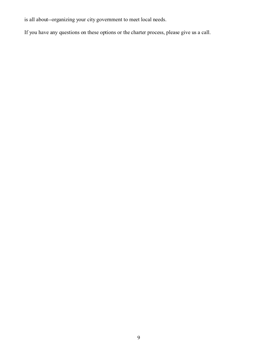is all about--organizing your city government to meet local needs.

If you have any questions on these options or the charter process, please give us a call.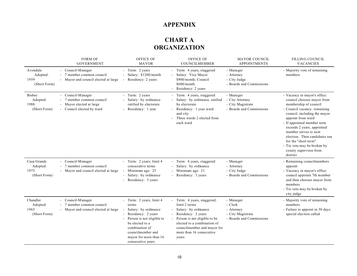## **APPENDIX**

# **CHART A ORGANIZATION**

|                                                   | <b>FORM OF</b><br><b>GOVERNMENT</b>                                                                 | OFFICE OF<br><b>MAYOR</b>                                                                                                                                                                                             | OFFICE OF<br>COUNCILMEMBER                                                                                                                                                                                                    | <b>MAYOR COUNCIL</b><br><b>APPOINTMENTS</b>                                         | <b>FILLING COUNCIL</b><br><b>VACANCIES</b>                                                                                                                                                                                                                                                                                                                                                  |
|---------------------------------------------------|-----------------------------------------------------------------------------------------------------|-----------------------------------------------------------------------------------------------------------------------------------------------------------------------------------------------------------------------|-------------------------------------------------------------------------------------------------------------------------------------------------------------------------------------------------------------------------------|-------------------------------------------------------------------------------------|---------------------------------------------------------------------------------------------------------------------------------------------------------------------------------------------------------------------------------------------------------------------------------------------------------------------------------------------------------------------------------------------|
| Avondale<br>Adopted:<br>1959<br>(Short Form)      | - Council-Manager<br>7 member common council<br>- Mayor and council elected at large                | - Term: 2 years<br>Salary: \$1200/month<br>Residency: 2 years                                                                                                                                                         | - Term: 4 years, staggered<br>Salary: Vice Mayor<br>\$900/month; Council<br>\$600/month<br>Residency: 2 years                                                                                                                 | - Manager<br>- Attorney<br>- City Judge<br>- Boards and Commissions                 | - Majority vote of remaining<br>members                                                                                                                                                                                                                                                                                                                                                     |
| <b>Bisbee</b><br>Adopted:<br>1988<br>(Short Form) | - Council-Manager<br>7 member common council<br>Mayor elected at large<br>- Council elected by ward | - Term: 2 years<br>Salary: by ordinance<br>ratified by electorate<br>Residency: 1 year                                                                                                                                | Term: 4 years, staggered<br>Salary: by ordinance, ratified<br>by electorate<br>Residency: 1 year ward<br>and city<br>Three wards 2 elected from<br>each ward                                                                  | - Manager<br>- City Attorney<br>- City Magistrate<br>- Boards and Commissions       | - Vacancy in mayor's office:<br>council chooses mayor from<br>membership of council<br>- Council vacancy: remaining<br>council, including the mayor<br>appoint from ward<br>- If appointed member term<br>exceeds 2 years, appointed<br>member serves to next<br>election. Then candidates run<br>for the "short term"<br>- Tie vote may be broken by<br>county supervisor from<br>district |
| Casa Grande<br>Adopted:<br>1975<br>(Short Form)   | Council-Manager<br>- 7 member common council<br>- Mayor and council elected at large                | - Term: 2 years; limit 4<br>consecutive terms<br>Minimum age: 25<br>Salary: by ordinance<br>Residency: 3 years                                                                                                        | - Term: 4 years, staggered<br>Salary: by ordinance<br>- Minimum age: 21<br>Residency: 3 years                                                                                                                                 | - Manager<br>- Attorney<br>- City Judge<br>- Boards and Commissions                 | - Remaining councilmembers<br>appoint<br>- Vacancy in mayor's office:<br>council appoints 7th member<br>and then chooses mayor from<br>members<br>- Tie vote may be broken by<br>city judge                                                                                                                                                                                                 |
| Chandler<br>Adopted:<br>1965<br>(Short Form)      | - Council-Manager<br>7 member common council<br>- Mayor and council elected at large                | - Term: 2 years; limit 4<br>terms<br>Salary: by ordinance<br>Residency: 2 years<br>Person is not eligible to<br>be elected to a<br>combination of<br>councilmember and<br>mayor for more than 16<br>consecutive years | - Term: 4 years, staggered;<br>limit 2 terms<br>Salary: by ordinance<br>Residency: 2 years<br>Person is not eligible to be<br>elected to a combination of<br>councilmember and mayor for<br>more than 16 consecutive<br>years | - Manager<br>- Clerk<br>- Attorney<br>- City Magistrate<br>- Boards and Commissions | - Majority vote of remaining<br>members<br>- Failure to appoint in 30 days:<br>special election called                                                                                                                                                                                                                                                                                      |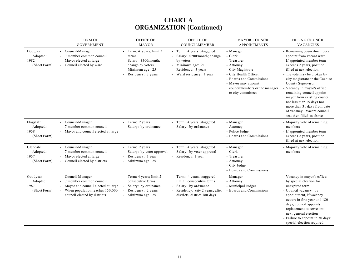|                                               | <b>FORM OF</b><br><b>GOVERNMENT</b>                                                                                                                     | <b>OFFICE OF</b><br><b>MAYOR</b>                                                                                          | <b>OFFICE OF</b><br>COUNCILMEMBER                                                                                                                  | <b>MAYOR COUNCIL</b><br><b>APPOINTMENTS</b>                                                                                                                                                               | FILLING COUNCIL<br><b>VACANCIES</b>                                                                                                                                                                                                                                                                                                                                                                                                                  |
|-----------------------------------------------|---------------------------------------------------------------------------------------------------------------------------------------------------------|---------------------------------------------------------------------------------------------------------------------------|----------------------------------------------------------------------------------------------------------------------------------------------------|-----------------------------------------------------------------------------------------------------------------------------------------------------------------------------------------------------------|------------------------------------------------------------------------------------------------------------------------------------------------------------------------------------------------------------------------------------------------------------------------------------------------------------------------------------------------------------------------------------------------------------------------------------------------------|
| Douglas<br>Adopted:<br>1982<br>(Short Form)   | - Council-Manager<br>- 7 member common council<br>Mayor elected at large<br>- Council elected by ward                                                   | - Term: 4 years; limit 3<br>terms<br>- Salary: $$300/month;$<br>change by voters<br>Minimum age: 25<br>Residency: 3 years | - Term: 4 years, staggered<br>Salary: \$200/month; change<br>by voters<br>Minimum age: 21<br>Residency: 3 years<br>Ward residency: 1 year          | - Manager<br>- Clerk<br>- Treasurer<br>- Attorney<br>- City Magistrate<br>- City Health Officer<br>- Boards and Commissions<br>- Mayor may appoint<br>councilmembers or the manager<br>to city committees | - Remaining councilmembers<br>appoint from vacant ward<br>- If appointed member term<br>exceeds 2 years, position<br>filled at next election<br>- Tie vote may be broken by<br>city magistrate or the Cochise<br>County Supervisor<br>- Vacancy in mayor's office<br>remaining council appoint<br>mayor from existing council<br>not less than 15 days nor<br>more than 31 days from date<br>of vacancy. Vacant council<br>seat then filled as above |
| Flagstaff<br>Adopted:<br>1958<br>(Short Form) | - Council-Manager<br>- 7 member common council<br>- Mayor and council elected at large                                                                  | - Term: 2 years<br>- Salary: by ordinance                                                                                 | Term: 4 years, staggered<br>Salary: by ordinance                                                                                                   | - Manager<br>- Attorney<br>- Police Judge<br>- Boards and Commissions                                                                                                                                     | - Majority vote of remaining<br>members<br>- If appointed member term<br>exceeds 2 years, position<br>filled at next election                                                                                                                                                                                                                                                                                                                        |
| Glendale<br>Adopted:<br>1957<br>(Short Form)  | - Council-Manager<br>- 7 member common council<br>- Mayor elected at large<br>- Council elected by districts                                            | - Term: 2 years<br>Salary: by voter approval<br>- Residency: 1 year<br>- Minimum age: 25                                  | - Term: 4 years, staggered<br>Salary: by voter approval<br>- Residency: 1 year                                                                     | - Manager<br>- Clerk<br>- Treasurer<br>- Attorney<br>- City Judge<br>- Boards and Commissions                                                                                                             | - Majority vote of remaining<br>members                                                                                                                                                                                                                                                                                                                                                                                                              |
| Goodyear<br>Adopted:<br>1987<br>(Short Form)  | - Council-Manager<br>- 7 member common council<br>Mayor and council elected at large<br>When population reaches 150,000<br>council elected by districts | - Term: 4 years; limit 2<br>consecutive terms<br>Salary: by ordinance<br>- Residency: 2 years<br>- Minimum age: 25        | - Term: 4 years, staggered;<br>limit 3 consecutive terms<br>Salary: by ordinance<br>Residency: city 2 years; after<br>districts, district 180 days | - Manager<br>- Attorney<br>- Municipal Judges<br>- Boards and Commissions                                                                                                                                 | - Vacancy in mayor's office:<br>by special election for<br>unexpired term<br>- Council vacancy: by<br>appointment, if vacancy<br>occurs in first year and 180<br>days, council appoints<br>replacement to serve until<br>next general election<br>- Failure to appoint in 30 days:<br>special election required                                                                                                                                      |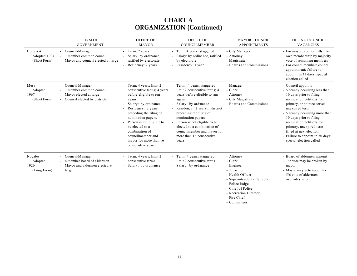|                                            | <b>FORM OF</b><br><b>GOVERNMENT</b>                                                                    | <b>OFFICE OF</b><br><b>MAYOR</b>                                                                                                                                                                                                                                                                                             | <b>OFFICE OF</b><br><b>COUNCILMEMBER</b>                                                                                                                                                                                                                                                                                                        | <b>MAYOR COUNCIL</b><br><b>APPOINTMENTS</b>                                                                                                                                                           | <b>FILLING COUNCIL</b><br><b>VACANCIES</b>                                                                                                                                                                                                                                                                                                                             |
|--------------------------------------------|--------------------------------------------------------------------------------------------------------|------------------------------------------------------------------------------------------------------------------------------------------------------------------------------------------------------------------------------------------------------------------------------------------------------------------------------|-------------------------------------------------------------------------------------------------------------------------------------------------------------------------------------------------------------------------------------------------------------------------------------------------------------------------------------------------|-------------------------------------------------------------------------------------------------------------------------------------------------------------------------------------------------------|------------------------------------------------------------------------------------------------------------------------------------------------------------------------------------------------------------------------------------------------------------------------------------------------------------------------------------------------------------------------|
| Holbrook<br>Adopted 1994<br>(Short Form)   | - Council-Manager<br>- 7 member common council<br>- Mayor and council elected at large                 | - Term: 2 years<br>Salary: by ordinance,<br>ratified by electorate<br>Residency: 2 years                                                                                                                                                                                                                                     | - Term: 4 years; staggered<br>Salary: by ordinance, ratified<br>by electorate<br>Residency: 1 year                                                                                                                                                                                                                                              | - City Manager<br>- Attorney<br>- Magistrate<br>- Boards and Commissions                                                                                                                              | - For mayor: council fills from<br>own membership by majority<br>vote of remaining members<br>- For councilmember: council<br>appointment; failure to<br>appoint in 31 days special<br>election called                                                                                                                                                                 |
| Mesa<br>Adopted:<br>1967<br>(Short Form)   | - Council-Manager<br>7 member common council<br>Mayor elected at large<br>Council elected by districts | Term: 4 years; limit 2<br>consecutive terms; 4 years<br>before eligible to run<br>again<br>Salary: by ordinance<br>Residency: 2 years<br>preceding the filing of<br>nomination papers.<br>Person is not eligible to<br>be elected to a<br>combination of<br>councilmember and<br>mayor for more than 16<br>consecutive years | Term: 4 years, staggered;<br>limit 2 consecutive terms; 4<br>years before eligible to run<br>again<br>Salary: by ordinance<br>Residency: 2 years in district<br>preceding the filing of<br>nomination papers<br>Person is not eligible to be<br>elected to a combination of<br>councilmember and mayor for<br>more than 16 consecutive<br>years | - Manager<br>- Clerk<br>- Attorney<br>- City Magistrate<br>- Boards and Commissions                                                                                                                   | - Council appoints<br>- Vacancy occurring less than<br>10 days prior to filing<br>nomination petitions for<br>primary, appointee serves<br>unexpired term<br>- Vacancy occurring more than<br>10 days prior to filing<br>nomination petitions for<br>primary, unexpired term<br>filled at next election<br>- Failure to appoint in 30 days:<br>special election called |
| Nogales<br>Adopted:<br>1926<br>(Long Form) | - Council-Manager<br>- 6 member board of aldermen<br>- Mayor and aldermen elected at<br>large          | Term: 4 years; limit 2<br>consecutive terms<br>Salary: by ordinance<br>$\overline{\phantom{a}}$                                                                                                                                                                                                                              | - Term: 4 years, staggered;<br>limit 2 consecutive terms<br>Salary: by ordinance                                                                                                                                                                                                                                                                | - Attorney<br>- Clerk<br>- Engineer<br>- Treasurer<br>- Health Officer<br>- Superintendent of Streets<br>- Police Judge<br>- Chief of Police<br>- Recreation Director<br>- Fire Chief<br>- Committees | - Board of aldermen appoint<br>- Tie vote may be broken by<br>mayor<br>- Mayor may veto appointee<br>- 5/6 vote of aldermen<br>overrides veto                                                                                                                                                                                                                          |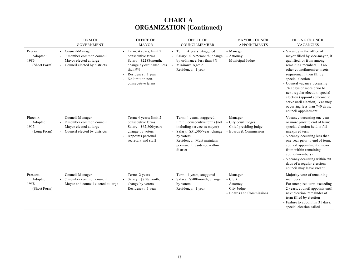|                                              | <b>FORM OF</b><br><b>GOVERNMENT</b>                                                                          | OFFICE OF<br><b>MAYOR</b>                                                                                                                                                    | OFFICE OF<br>COUNCILMEMBER                                                                                                                                                                                     | <b>MAYOR COUNCIL</b><br><b>APPOINTMENTS</b>                                          | FILLING COUNCIL<br><b>VACANCIES</b>                                                                                                                                                                                                                                                                                                                                                                                        |
|----------------------------------------------|--------------------------------------------------------------------------------------------------------------|------------------------------------------------------------------------------------------------------------------------------------------------------------------------------|----------------------------------------------------------------------------------------------------------------------------------------------------------------------------------------------------------------|--------------------------------------------------------------------------------------|----------------------------------------------------------------------------------------------------------------------------------------------------------------------------------------------------------------------------------------------------------------------------------------------------------------------------------------------------------------------------------------------------------------------------|
| Peoria<br>Adopted:<br>1983<br>(Short Form)   | - Council-Manager<br>member common council<br>Mayor elected at large<br>- Council elected by districts       | - Term: 4 years; limit 2<br>consecutive terms<br>Salary: \$2288/month;<br>change by ordinance, less<br>than 9%<br>Residency: 1 year<br>No limit on non-<br>consecutive terms | - Term: 4 years, staggered<br>Salary: \$1525/month; change<br>by ordinance, less than 9%<br>Minimum Age: 21<br>- Residency: 1 year                                                                             | - Manager<br>- Attorney<br>- Municipal Judge                                         | - Vacancy in the office of<br>mayor filled by vice-mayor, if<br>qualified, or from among<br>remaining members. If no<br>other councilmember meets<br>requirement, then fill by<br>special election<br>- Council vacancy occurring<br>740 days or more prior to<br>next regular election: special<br>election (appoint someone to<br>serve until election). Vacancy<br>occurring less than 740 days:<br>council appointment |
| Phoenix<br>Adopted:<br>1913<br>(Long Form)   | - Council-Manager<br>member common council<br>-9<br>Mayor elected at large<br>- Council elected by districts | Term: 4 years; limit 2<br>consecutive terms<br>Salary: \$62,800/year;<br>change by voters<br>Appoints personal<br>secretary and staff                                        | Term: 4 years, staggered;<br>limit 3 consecutive terms (not<br>including service as mayor)<br>Salary: \$51,500/year; change<br>by voters<br>Residency: Must maintain<br>permanent residence within<br>district | - Manager<br>- City court judges<br>- Chief presiding judge<br>- Boards & Commission | - Vacancy occurring one year<br>or more prior to end of term:<br>special election held to fill<br>unexpired term<br>- Vacancy occurring less than<br>one year prior to end of term:<br>council appointment (mayor<br>from within remaining<br>councilmembers)<br>- Vacancy occurring within 90<br>days of a regular election:<br>council may leave vacant                                                                  |
| Prescott<br>Adopted:<br>1958<br>(Short Form) | - Council-Manager<br>- 7 member common council<br>- Mayor and council elected at large                       | - Term: 2 years<br>Salary: \$750/month;<br>change by voters<br>Residency: 1 year                                                                                             | - Term: 4 years, staggered<br>Salary: \$500/month; change<br>by voters<br>- Residency: 1 year                                                                                                                  | - Manager<br>- Clerk<br>- Attorney<br>- City Judge<br>- Boards and Commissions       | - Majority vote of remaining<br>members<br>- For unexpired term exceeding<br>2 years, council appoints until<br>next election, remainder of<br>term filled by election<br>- Failure to appoint in 31 days:<br>special election called                                                                                                                                                                                      |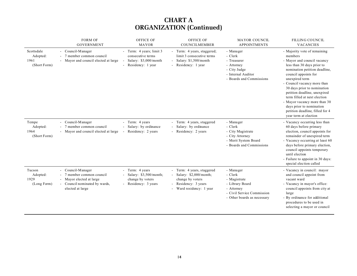|                                                | <b>FORM OF</b><br><b>GOVERNMENT</b>                                                                                             | <b>OFFICE OF</b><br><b>MAYOR</b>                                                              | <b>OFFICE OF</b><br>COUNCILMEMBER                                                                                        | <b>MAYOR COUNCIL</b><br><b>APPOINTMENTS</b>                                                                                        | <b>FILLING COUNCIL</b><br><b>VACANCIES</b>                                                                                                                                                                                                                                                                                                                                                                                            |
|------------------------------------------------|---------------------------------------------------------------------------------------------------------------------------------|-----------------------------------------------------------------------------------------------|--------------------------------------------------------------------------------------------------------------------------|------------------------------------------------------------------------------------------------------------------------------------|---------------------------------------------------------------------------------------------------------------------------------------------------------------------------------------------------------------------------------------------------------------------------------------------------------------------------------------------------------------------------------------------------------------------------------------|
| Scottsdale<br>Adopted:<br>1961<br>(Short Form) | - Council-Manager<br>- 7 member common council<br>- Mayor and council elected at large                                          | - Term: 4 years; limit 3<br>consecutive terms<br>Salary: \$3,000/month<br>- Residency: 1 year | - Term: 4 years, staggered;<br>limit 3 consecutive terms<br>Salary: \$1,500/month<br>- Residency: 1 year                 | - Manager<br>- Clerk<br>- Treasurer<br>- Attorney<br>- City Judge<br>- Internal Auditor<br>- Boards and Commissions                | - Majority vote of remaining<br>members<br>- Mayor and council vacancy<br>less than 30 days prior to<br>nomination petition deadline,<br>council appoints for<br>unexpired term<br>- Council vacancy more than<br>30 days prior to nomination<br>petition deadline, unexpired<br>term filled at next election<br>- Mayor vacancy more than 30<br>days prior to nomination<br>petition deadline, filled for 4<br>year term at election |
| Tempe<br>Adopted:<br>1964<br>(Short Form)      | - Council-Manager<br>- 7 member common council<br>- Mayor and council elected at large                                          | - Term: 4 years<br>Salary: by ordinance<br>Residency: 2 years                                 | - Term: 4 years, staggered<br>Salary: by ordinance<br>Residency: 2 years                                                 | - Manager<br>- Clerk<br>- City Magistrate<br>- City Attorney<br>- Merit System Board<br>- Boards and Commissions                   | - Vacancy occurring less than<br>60 days before primary<br>election, council appoints for<br>remainder of unexpired term<br>- Vacancy occurring at least 60<br>days before primary election,<br>council appoints temporary<br>until election<br>- Failure to appoint in 30 days:<br>special election called                                                                                                                           |
| Tucson<br>Adopted:<br>1929<br>(Long Form)      | - Council-Manager<br>- 7 member common council<br>- Mayor elected at large<br>- Council nominated by wards,<br>elected at large | - Term: 4 years<br>- Salary: \$3,500/month;<br>change by voters<br>- Residency: 3 years       | - Term: 4 years, staggered<br>Salary: \$2,000/month;<br>change by voters<br>Residency: 3 years<br>Ward residency: 1 year | - Manager<br>- Clerk<br>- Magistrate<br>- Library Board<br>- Attorney<br>- Civil Service Commission<br>- Other boards as necessary | - Vacancy in council: mayor<br>and council appoint from<br>vacant ward<br>- Vacancy in mayor's office:<br>council appoints from city at<br>large<br>- By ordinance for additional<br>procedures to be used in<br>selecting a mayor or council                                                                                                                                                                                         |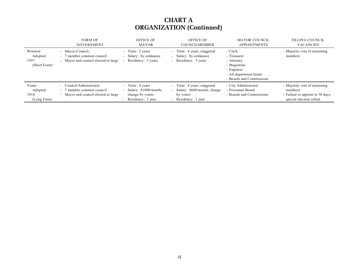|                                             | <b>FORM OF</b><br><b>GOVERNMENT</b>                                                          | <b>OFFICE OF</b><br><b>MAYOR</b>                                                      | <b>OFFICE OF</b><br><b>COUNCILMEMBER</b>                                                            | <b>MAYOR COUNCIL</b><br><b>APPOINTMENTS</b>                                                                              | <b>FILLING COUNCIL</b><br><b>VACANCIES</b>                                                             |
|---------------------------------------------|----------------------------------------------------------------------------------------------|---------------------------------------------------------------------------------------|-----------------------------------------------------------------------------------------------------|--------------------------------------------------------------------------------------------------------------------------|--------------------------------------------------------------------------------------------------------|
| Winslow<br>Adopted:<br>1957<br>(Short Form) | - Mayor-Council:<br>- 7 member common council<br>- Mayor and council elected at large        | - Term: 2 years<br>Salary: by ordinance<br>$\sim$<br>Residency: 3 years               | Term: 4 years, staggered<br>$\sim$<br>Salary: by ordinance<br>Residency: 3 years                    | - Clerk<br>- Treasurer<br>- Attorney<br>- Magistrate<br>- Engineer<br>- All department heads<br>- Boards and Commissions | - Majority vote of remaining<br>members                                                                |
| Yuma<br>Adopted:<br>1914<br>(Long Form)     | - Council/Administrator<br>- 7 member common council<br>- Mayor and council elected at large | - Term: 4 years<br>- Salary: $$1000/month;$<br>change by voters.<br>Residency: 1 year | Term: 4 years, staggered<br>$\sim$<br>Salary: \$600/month; change<br>by voters<br>Residency: 1 year | - City Administrator<br>- Personnel Board<br>- Boards and Commissions                                                    | - Majority vote of remaining<br>members<br>- Failure to appoint in 30 days:<br>special election called |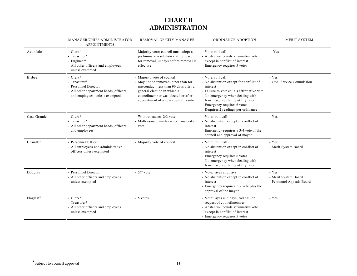# **CHART B ADMINISTRATION**

|               | MANAGER/CHIEF ADMINISTRATOR<br><b>APPOINTMENTS</b>                                                                           | REMOVAL OF CITY MANAGER                                                                                                                                                                                                | <b>ORDINANCE ADOPTION</b>                                                                                                                                                                                                                                              | <b>MERIT SYSTEM</b>                                        |
|---------------|------------------------------------------------------------------------------------------------------------------------------|------------------------------------------------------------------------------------------------------------------------------------------------------------------------------------------------------------------------|------------------------------------------------------------------------------------------------------------------------------------------------------------------------------------------------------------------------------------------------------------------------|------------------------------------------------------------|
| Avondale      | $-$ Clerk <sup>*</sup><br>- Treasurer*<br>- Engineer*<br>- All other officers and employees<br>unless exempted               | - Majority vote; council must adopt a<br>preliminary resolution stating reason<br>for removal 30 days before removal is<br>effective                                                                                   | - Vote: roll call<br>- Abstention equals affirmative vote<br>except in conflict of interest<br>- Emergency requires 5 votes                                                                                                                                            | -Yes                                                       |
| <b>Bisbee</b> | - Clerk*<br>- Treasurer*<br>- Personnel Director<br>- All other department heads, officers<br>and employees, unless exempted | - Majority vote of council<br>- May not be removed, other than for<br>misconduct, less than 90 days after a<br>general election in which a<br>councilmember was elected or after<br>appointment of a new councilmember | - Vote: roll call<br>- No abstention except for conflict of<br>interest<br>- Failure to vote equals affirmative vote<br>- No emergency when dealing with<br>franchise, regulating utility rates<br>- Emergency requires 6 votes<br>- Requires 2 readings per ordinance | - Yes<br>- Civil Service Commission                        |
| Casa Grande   | - $Clerk*$<br>- Treasurer*<br>- All other department heads, officers<br>and employees                                        | - Without cause: 2/3 vote<br>- Malfeasance, misfeasance: majority<br>vote                                                                                                                                              | - Vote: roll call<br>- No abstention except in conflict of<br>interest<br>- Emergency requires a 3/4 vote of the<br>council and approval of mayor                                                                                                                      | - Yes                                                      |
| Chandler      | - Personnel Officer<br>- All employees and administrative<br>officers unless exempted                                        | - Majority vote of council                                                                                                                                                                                             | - Vote: roll call<br>- No abstention except in conflict of<br>interest<br>- Emergency requires 6 votes<br>- No emergency when dealing with<br>franchise, regulating utility rates                                                                                      | - Yes<br>- Merit System Board                              |
| Douglas       | - Personnel Director<br>- All other officers and employees<br>unless exempted                                                | $-5/7$ vote                                                                                                                                                                                                            | - Vote: ayes and nays<br>- No abstention except in conflict of<br>interest<br>- Emergency requires 5/7 vote plus the<br>approval of the mayor                                                                                                                          | - Yes<br>- Merit System Board<br>- Personnel Appeals Board |
| Flagstaff     | - $Clerk*$<br>- Treasurer*<br>- All other officers and employees<br>unless exempted                                          | - 5 votes                                                                                                                                                                                                              | - Vote: ayes and nays; roll call on<br>request of councilmember<br>- Abstention equals affirmative vote<br>except in conflict of interest<br>- Emergency requires 5 votes                                                                                              | - Yes                                                      |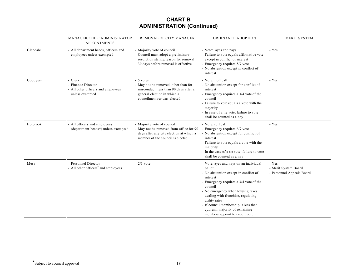## **CHART B ADMINISTRATION (Continued)**

|          | MANAGER/CHIEF ADMINISTRATOR<br><b>APPOINTMENTS</b>                                     | REMOVAL OF CITY MANAGER                                                                                                                                | ORDINANCE ADOPTION                                                                                                                                                                                                                                                                                                                                                  | MERIT SYSTEM                                               |
|----------|----------------------------------------------------------------------------------------|--------------------------------------------------------------------------------------------------------------------------------------------------------|---------------------------------------------------------------------------------------------------------------------------------------------------------------------------------------------------------------------------------------------------------------------------------------------------------------------------------------------------------------------|------------------------------------------------------------|
| Glendale | - All department heads, officers and<br>employees unless exempted                      | - Majority vote of council<br>- Council must adopt a preliminary<br>resolution stating reason for removal<br>30 days before removal is effective       | - Vote: ayes and nays<br>- Failure to vote equals affirmative vote<br>except in conflict of interest<br>- Emergency requires 5/7 vote<br>- No abstention except in conflict of<br>interest                                                                                                                                                                          | - Yes                                                      |
| Goodyear | - Clerk<br>- Finance Director<br>- All other officers and employees<br>unless exempted | - 5 votes<br>- May not be removed, other than for<br>misconduct, less than 90 days after a<br>general election in which a<br>councilmember was elected | - Vote: roll call<br>- No abstention except for conflict of<br>interest<br>- Emergency requires a 3/4 vote of the<br>council<br>- Failure to vote equals a vote with the<br>majority<br>- In case of a tie vote, failure to vote<br>shall be counted as a nay                                                                                                       | - Yes                                                      |
| Holbrook | - All officers and employees<br>(department heads*) unless exempted                    | - Majority vote of council<br>- May not be removed from office for 90<br>days after any city election at which a<br>member of the council is elected   | - Vote: roll call<br>- Emergency requires 6/7 vote<br>- No abstention except for conflict of<br>interest<br>- Failure to vote equals a vote with the<br>majority<br>- In the case of a tie vote, failure to vote<br>shall be counted as a nay                                                                                                                       | - Yes                                                      |
| Mesa     | - Personnel Director<br>- All other officers <sup>*</sup> and employees                | $-2/3$ vote                                                                                                                                            | - Vote: ayes and nays on an individual<br>ballot<br>- No abstention except in conflict of<br>interest<br>- Emergency requires a 3/4 vote of the<br>council<br>- No emergency when levying taxes,<br>dealing with franchise, regulating<br>utility rates<br>- If council membership is less than<br>quorum, majority of remaining<br>members appoint to raise quorum | - Yes<br>- Merit System Board<br>- Personnel Appeals Board |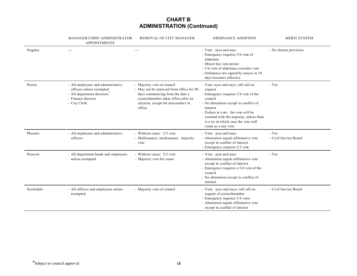## **CHART B ADMINISTRATION (Continued)**

|            | MANAGER/CHIEF ADMINISTRATOR<br><b>APPOINTMENTS</b>                                                                                              | REMOVAL OF CITY MANAGER                                                                                                                                                                         | ORDINANCE ADOPTION                                                                                                                                                                                                                                                                                      | MERIT SYSTEM                   |
|------------|-------------------------------------------------------------------------------------------------------------------------------------------------|-------------------------------------------------------------------------------------------------------------------------------------------------------------------------------------------------|---------------------------------------------------------------------------------------------------------------------------------------------------------------------------------------------------------------------------------------------------------------------------------------------------------|--------------------------------|
| Nogales    | $---$                                                                                                                                           | $\qquad \qquad -$                                                                                                                                                                               | - Vote: ayes and nays<br>- Emergency requires 5/6 vote of<br>aldermen<br>- Mayor has veto power<br>- 5/6 vote of aldermen overrides veto<br>- Ordinance not signed by mayor in 10<br>days becomes effective                                                                                             | - No charter provision         |
| Peoria     | - All employees and administrative<br>officers unless exempted<br>- All department directors <sup>®</sup><br>- Finance director<br>- City Clerk | - Majority vote of council<br>- May not be removed from office for 90<br>days commencing from the date a<br>councilmember takes office after an<br>election, except for misconduct in<br>office | - Vote: ayes and nays; roll call on<br>request<br>- Emergency requires 3/4 vote of the<br>council<br>- No abstention except in conflict of<br>interest<br>- Failure to vote: the vote will be<br>counted with the majority, unless there<br>is a tie in which case the vote will<br>count as a nay vote | - Yes                          |
| Phoenix    | - All employees and administrative<br>officers                                                                                                  | - Without cause: 2/3 vote<br>- Malfeasance, misfeasance: majority<br>vote                                                                                                                       | - Vote: ayes and nays<br>- Abstention equals affirmative vote<br>except in conflict of interest<br>- Emergency requires 2/3 vote                                                                                                                                                                        | - Yes<br>- Civil Service Board |
| Prescott   | - All department heads and employees<br>unless exempted                                                                                         | - Without cause: 2/3 vote<br>- Majority vote for cause                                                                                                                                          | - Vote: ayes and nays<br>- Abstention equals affirmative vote<br>except in conflict of interest<br>- Emergency requires a 3/4 vote of the<br>council<br>- No abstention except in conflict of<br>interest                                                                                               | - Yes                          |
| Scottsdale | - All officers and employees unless<br>exempted                                                                                                 | - Majority vote of council                                                                                                                                                                      | - Vote: ayes and nays; roll call on<br>request of councilmember<br>- Emergency requires 3/4 votes<br>- Abstention equals affirmative vote<br>except in conflict of interest                                                                                                                             | - Civil Service Board          |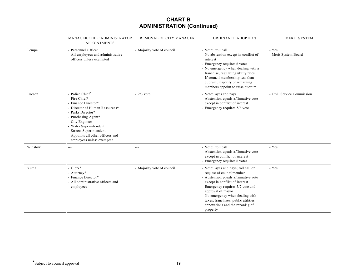## **CHART B ADMINISTRATION (Continued)**

|         | MANAGER/CHIEF ADMINISTRATOR<br><b>APPOINTMENTS</b>                                                                                                                                                                                                                               | REMOVAL OF CITY MANAGER    | ORDINANCE ADOPTION                                                                                                                                                                                                                                                                                                             | MERIT SYSTEM                  |
|---------|----------------------------------------------------------------------------------------------------------------------------------------------------------------------------------------------------------------------------------------------------------------------------------|----------------------------|--------------------------------------------------------------------------------------------------------------------------------------------------------------------------------------------------------------------------------------------------------------------------------------------------------------------------------|-------------------------------|
| Tempe   | - Personnel Officer<br>- All employees and administrative<br>officers unless exempted                                                                                                                                                                                            | - Majority vote of council | - Vote: roll call<br>- No abstention except in conflict of<br>interest<br>- Emergency requires 6 votes<br>- No emergency when dealing with a<br>franchise, regulating utility rates<br>- If council membership less than<br>quorum, majority of remaining<br>members appoint to raise quorum                                   | - Yes<br>- Merit System Board |
| Tucson  | - Police Chief*<br>- Fire Chief*<br>- Finance Director*<br>- Director of Human Resources*<br>- Parks Director*<br>- Purchasing Agent*<br>- City Engineer<br>- Water Superintendent<br>- Streets Superintendent<br>- Appoints all other officers and<br>employees unless exempted | $-2/3$ vote                | - Vote: ayes and nays<br>- Abstention equals affirmative vote<br>except in conflict of interest<br>- Emergency requires 5/6 vote                                                                                                                                                                                               | - Civil Service Commission    |
| Winslow | $---$                                                                                                                                                                                                                                                                            | $---$                      | - Vote: roll call<br>- Abstention equals affirmative vote<br>except in conflict of interest<br>- Emergency requires 6 votes                                                                                                                                                                                                    | - Yes                         |
| Yuma    | - $Clerk*$<br>- Attorney*<br>- Finance Director*<br>- All administrative officers and<br>employees                                                                                                                                                                               | - Majority vote of council | - Vote: ayes and nays; roll call on<br>request of councilmember<br>- Abstention equals affirmative vote<br>except in conflict of interest<br>- Emergency requires 5/7 vote and<br>approval of mayor<br>- No emergency when dealing with<br>taxes, franchises, public utilities,<br>annexations and the rezoning of<br>property | - Yes                         |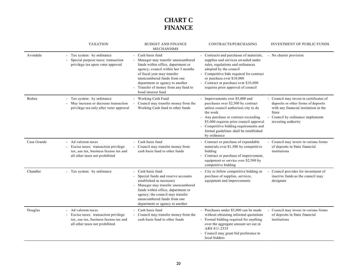# **CHART C FINANCE**

|               | <b>TAXATION</b>                                                                                                                     | <b>BUDGET AND FINANCE</b><br><b>MECHANISMS</b>                                                                                                                                                                                                                                                  | CONTRACTS/PURCHASING                                                                                                                                                                                                                                                                                             | <b>INVESTMENT OF PUBLIC FUNDS</b>                                                                                                                                                          |
|---------------|-------------------------------------------------------------------------------------------------------------------------------------|-------------------------------------------------------------------------------------------------------------------------------------------------------------------------------------------------------------------------------------------------------------------------------------------------|------------------------------------------------------------------------------------------------------------------------------------------------------------------------------------------------------------------------------------------------------------------------------------------------------------------|--------------------------------------------------------------------------------------------------------------------------------------------------------------------------------------------|
| Avondale      | - Tax system: by ordinance<br>Special purpose taxes: transaction<br>privilege tax upon voter approval                               | Cash basis fund<br>Manager may transfer unencumbered<br>funds within office, department or<br>agency; council within last 3 months<br>of fiscal year may transfer<br>unencumbered funds from one<br>department or agency to another<br>Transfer of money from any fund to<br>bond interest fund | - Contracts and purchases of materials,<br>supplies and services awarded under<br>rules, regulations and ordinances<br>adopted by the council<br>- Competitive bids required for contract<br>or purchase over \$10,000<br>- Contract or purchase over \$10,000<br>requires prior approval of council             | - No charter provision                                                                                                                                                                     |
| <b>Bisbee</b> | - Tax system: by ordinance<br>- May increase or decrease transaction<br>privilege tax only after voter approval                     | - Working Cash Fund<br>Council may transfer money from the<br>Working Cash fund to other funds                                                                                                                                                                                                  | - Improvements over \$5,000 and<br>purchases over \$2,500 by contract<br>unless council authorizes city to do<br>the work<br>- Any purchase or contract exceeding<br>\$5,000 requires prior council approval<br>- Competitive bidding requirements and<br>formal guidelines shall be established<br>by ordinance | - Council may invest in certificates of<br>deposits or other forms of deposits<br>with any financial institution in the<br>State<br>Council by ordinance implements<br>investing authority |
| Casa Grande   | Ad valorem taxes<br>Excise taxes: transaction privilege<br>tax, use tax, business license tax and<br>all other taxes not prohibited | Cash basis fund<br>Council may transfer money from<br>cash basis fund to other funds                                                                                                                                                                                                            | - Contract or purchase of expendable<br>materials over \$1,500 by competitive<br>bidding<br>Contract or purchase of improvement,<br>equipment or service over \$2,500 by<br>competitive bidding                                                                                                                  | - Council may invest in various forms<br>of deposits in State financial<br>institutions                                                                                                    |
| Chandler      | - Tax system: by ordinance                                                                                                          | Cash basis fund<br>Special funds and reserve accounts<br>established as necessary<br>Manager may transfer unencumbered<br>$\overline{\phantom{a}}$<br>funds within office, department or<br>agency; the council may transfer<br>unencumbered funds from one<br>department or agency to another  | City to follow competitive bidding in<br>purchase of supplies, services,<br>equipment and improvements                                                                                                                                                                                                           | Council provides for investment of<br>inactive funds as the council may<br>designate                                                                                                       |
| Douglas       | Ad valorem taxes<br>Excise taxes: transaction privilege<br>tax, use tax, business license tax and<br>all other taxes not prohibited | Cash basis fund<br>Council may transfer money from the<br>cash basis fund to other funds                                                                                                                                                                                                        | - Purchases under \$5,000 can be made<br>without obtaining informal quotations<br>Formal bidding required for anything<br>over the aggregate amount set out in<br>ARS 411-2535<br>Council may grant bid preference to<br>local bidders                                                                           | Council may invest in various forms<br>of deposits in State financial<br>institutions                                                                                                      |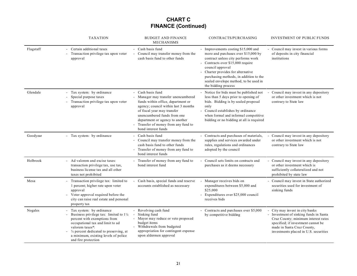# **CHART C FINANCE (Continued)**

|           | <b>TAXATION</b>                                                                                                                                                                                                                                                                | <b>BUDGET AND FINANCE</b><br>MECHANISMS                                                                                                                                                                                                                                                            | CONTRACTS/PURCHASING                                                                                                                                                                                                                                                                                                      | <b>INVESTMENT OF PUBLIC FUNDS</b>                                                                                                                                                                                         |
|-----------|--------------------------------------------------------------------------------------------------------------------------------------------------------------------------------------------------------------------------------------------------------------------------------|----------------------------------------------------------------------------------------------------------------------------------------------------------------------------------------------------------------------------------------------------------------------------------------------------|---------------------------------------------------------------------------------------------------------------------------------------------------------------------------------------------------------------------------------------------------------------------------------------------------------------------------|---------------------------------------------------------------------------------------------------------------------------------------------------------------------------------------------------------------------------|
| Flagstaff | Certain additional taxes<br>Transaction privilege tax upon voter<br>approval                                                                                                                                                                                                   | Cash basis fund<br>Council may transfer money from the<br>cash basis fund to other funds                                                                                                                                                                                                           | - Improvements costing \$15,000 and<br>more and purchases over \$15,000 by<br>contract unless city performs work<br>- Contracts over \$15,000 require<br>council approval<br>- Charter provides for alternative<br>purchasing methods, in addition to the<br>sealed envelope method, to be used in<br>the bidding process | - Council may invest in various forms<br>of deposits in city financial<br>institutions                                                                                                                                    |
| Glendale  | Tax system: by ordinance<br>Special purpose taxes<br>Transaction privilege tax upon voter<br>approval                                                                                                                                                                          | Cash basis fund<br>- Manager may transfer unencumbered<br>funds within office, department or<br>agency; council within last 3 months<br>of fiscal year may transfer<br>unencumbered funds from one<br>department or agency to another<br>Transfer of money from any fund to<br>bond interest funds | - Notice for bids must be published not<br>less than 5 days prior to opening of<br>bids. Bidding is by sealed proposal<br>only<br>- Council establishes by ordinance<br>when formal and informal competitive<br>bidding or no bidding at all is required                                                                  | Council may invest in any depository<br>or other investment which is not<br>contrary to State law                                                                                                                         |
| Goodyear  | Tax system: by ordinance                                                                                                                                                                                                                                                       | Cash basis fund<br>Council may transfer money from the<br>cash basis fund to other funds<br>- Transfer of money from any fund to<br>bond interest funds                                                                                                                                            | - Contracts and purchases of materials,<br>supplies and services awarded under<br>rules, regulations and ordinances<br>adopted by the council                                                                                                                                                                             | Council may invest in any depository<br>or other investment which is not<br>contrary to State law                                                                                                                         |
| Holbrook  | Ad valorem and excise taxes:<br>transaction privilege tax, use tax,<br>business license tax and all other<br>taxes not prohibited                                                                                                                                              | - Transfer of money from any fund to<br>bond interest fund                                                                                                                                                                                                                                         | - Council sets limits on contracts and<br>purchases as it deems necessary                                                                                                                                                                                                                                                 | - Council may invest in any depository<br>or other investment which is<br>sufficiently collateralized and not<br>prohibited by state law                                                                                  |
| Mesa      | Transaction privilege tax: limited to<br>1 percent; higher rate upon voter<br>approval<br>Voter approval required before the<br>city can raise real estate and personal<br>property tax                                                                                        | Cash basis, special funds and reserve<br>accounts established as necessary                                                                                                                                                                                                                         | Manager receives bids on<br>expenditures between \$5,000 and<br>\$25,000<br>- Expenditures over \$25,000 council<br>receives bids                                                                                                                                                                                         | - Council may invest in State authorized<br>securities used for investment of<br>sinking funds                                                                                                                            |
| Nogales   | Tax system: by ordinance<br>Business privilege tax: limited to $1\frac{1}{4}$<br>percent with exemptions from<br>occupational tax and limit to ad<br>valorem taxes*:<br>1/4 percent dedicated to preserving, at<br>a minimum, existing levels of police<br>and fire protection | - Revolving cash fund<br>Sinking fund<br>Mayor may reduce or veto proposed<br>budget items<br>Withdrawals from budgeted<br>appropriation for contingent expense<br>upon aldermen approval                                                                                                          | - Contracts and purchases over \$5,000<br>by competitive bidding                                                                                                                                                                                                                                                          | City may invest in city banks<br>Investment of sinking funds in Santa<br>Cruz County; minimum interest rates<br>specified; if investment cannot be<br>made in Santa Cruz County,<br>investments placed in U.S. securities |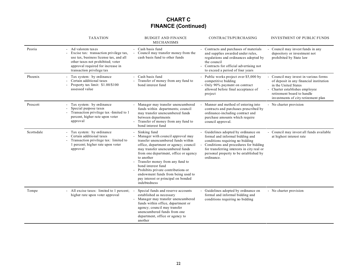# **CHART C FINANCE (Continued)**

|            | <b>TAXATION</b>                                                                                                                                                                                             | <b>BUDGET AND FINANCE</b><br><b>MECHANISMS</b>                                                                                                                                                                                                                                                                                                                                                                         | CONTRACTS/PURCHASING                                                                                                                                                                                                                                      | INVESTMENT OF PUBLIC FUNDS                                                                                                                                                                                  |
|------------|-------------------------------------------------------------------------------------------------------------------------------------------------------------------------------------------------------------|------------------------------------------------------------------------------------------------------------------------------------------------------------------------------------------------------------------------------------------------------------------------------------------------------------------------------------------------------------------------------------------------------------------------|-----------------------------------------------------------------------------------------------------------------------------------------------------------------------------------------------------------------------------------------------------------|-------------------------------------------------------------------------------------------------------------------------------------------------------------------------------------------------------------|
| Peoria     | Ad valorem taxes<br>Excise tax: transaction privilege tax,<br>use tax, business license tax, and all<br>other taxes not prohibited; voter<br>approval required for increase in<br>transaction privilege tax | Cash basis fund<br>Council may transfer money from the<br>cash basis fund to other funds                                                                                                                                                                                                                                                                                                                               | - Contracts and purchases of materials<br>and supplies awarded under rules,<br>regulations and ordinances adopted by<br>the council<br>- Contracts for official advertising not<br>to exceed a period of four years                                       | Council may invest funds in any<br>depository or investment not<br>prohibited by State law                                                                                                                  |
| Phoenix    | Tax system: by ordinance<br>Certain additional taxes<br>Property tax limit: \$1.00/\$100<br>assessed value                                                                                                  | Cash basis fund<br>Transfer of money from any fund to<br>bond interest fund                                                                                                                                                                                                                                                                                                                                            | - Public works project over \$5,000 by<br>competitive bidding<br>- Only 90% payment on contract<br>allowed before final acceptance of<br>project                                                                                                          | Council may invest in various forms<br>of deposit in any financial institution<br>in the United States<br>Charter establishes employee<br>retirement board to handle<br>investments of city retirement plan |
| Prescott   | Tax system: by ordinance<br>Special purpose taxes<br>Transaction privilege tax -limited to 1<br>percent, higher rate upon voter<br>approval                                                                 | - Manager may transfer unencumbered<br>funds within departments; council<br>may transfer unencumbered funds<br>between departments<br>Transfer of money from any fund to<br>bond interest fund                                                                                                                                                                                                                         | Manner and method of entering into<br>contracts and purchases prescribed by<br>ordinance-including contract and<br>purchase amounts which require<br>council approval.                                                                                    | - No charter provision                                                                                                                                                                                      |
| Scottsdale | Tax system: by ordinance<br>Certain additional taxes<br>Transaction privilege tax: limited to<br>1 percent; higher rate upon voter<br>approval                                                              | Sinking fund<br>Manager with council approval may<br>transfer unencumbered funds within<br>office, department or agency; council<br>may transfer unencumbered funds<br>from one department, office or agency<br>to another<br>Transfer money from any fund to<br>bond interest fund<br>Prohibits private contributions or<br>endowment funds from being used to<br>pay interest or principal on bonded<br>indebtedness | - Guidelines adopted by ordinance on<br>formal and informal bidding and<br>conditions requiring no bidding<br>Conditions and procedures for bidding<br>for transferring interests in city real or<br>personal property to be established by<br>ordinance. | Council may invest all funds available<br>at highest interest rate                                                                                                                                          |
| Tempe      | All excise taxes: limited to 1 percent;<br>higher rate upon voter approval                                                                                                                                  | Special funds and reserve accounts<br>established as necessary<br>Manager may transfer unencumbered<br>funds within office, department or<br>agency; council may transfer<br>unencumbered funds from one<br>department, office or agency to<br>another                                                                                                                                                                 | - Guidelines adopted by ordinance on<br>formal and informal bidding and<br>conditions requiring no bidding                                                                                                                                                | - No charter provision                                                                                                                                                                                      |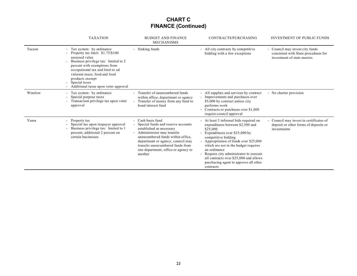# **CHART C FINANCE (Continued)**

|         | <b>TAXATION</b>                                                                                                                                                                                                                                                                                                                     | <b>BUDGET AND FINANCE</b><br><b>MECHANISMS</b>                                                                                                                                                                                                                                  | CONTRACTS/PURCHASING                                                                                                                                                                                                                                                                                                                                                                          | <b>INVESTMENT OF PUBLIC FUNDS</b>                                                                     |
|---------|-------------------------------------------------------------------------------------------------------------------------------------------------------------------------------------------------------------------------------------------------------------------------------------------------------------------------------------|---------------------------------------------------------------------------------------------------------------------------------------------------------------------------------------------------------------------------------------------------------------------------------|-----------------------------------------------------------------------------------------------------------------------------------------------------------------------------------------------------------------------------------------------------------------------------------------------------------------------------------------------------------------------------------------------|-------------------------------------------------------------------------------------------------------|
| Tucson  | Tax system: by ordinance<br>Property tax limit: $$1.75/\$100$<br>assessed value<br>Business privilege tax: limited to 2<br>percent with exemptions from<br>occupational tax and limit to ad<br>valorem taxes; food and food<br>products exempt<br>Special taxes<br>$\overline{\phantom{0}}$<br>Additional taxes upon voter approval | Sinking funds                                                                                                                                                                                                                                                                   | - All city contracts by competitive<br>bidding with a few exceptions                                                                                                                                                                                                                                                                                                                          | - Council may invest city funds<br>consistent with State procedures for<br>investment of state monies |
| Winslow | Tax system: by ordinance<br>Special purpose taxes<br>Transaction privilege tax upon voter<br>approval                                                                                                                                                                                                                               | Transfer of unencumbered funds<br>within office, department or agency<br>Transfer of money from any fund to<br>bond interest fund                                                                                                                                               | - All supplies and services by contract<br>- Improvements and purchases over<br>\$5,000 by contract unless city<br>performs work<br>- Contracts or purchases over \$1,000<br>require council approval                                                                                                                                                                                         | - No charter provision                                                                                |
| Yuma    | Property tax<br>Special tax upon taxpayer approval<br>Business privilege tax: limited to 1<br>percent; additional 2 percent on<br>certain businesses                                                                                                                                                                                | Cash basis fund<br>Special funds and reserve accounts<br>established as necessary<br>Administrator may transfer<br>unencumbered funds within office,<br>department or agency; council may<br>transfer unencumbered funds from<br>one department, office or agency to<br>another | - At least 3 informal bids required on<br>expenditures between \$2,500 and<br>\$25,000<br>- Expenditures over \$25,000 by<br>competitive bidding<br>- Appropriation of funds over \$25,000<br>which are not in the budget requires<br>an ordinance<br>- Requres city administrator to execute<br>all contracts over \$25,000 and allows<br>purchasing agent to approve all other<br>contracts | - Council may invest in certificates of<br>deposit or other forms of deposits or<br>investments       |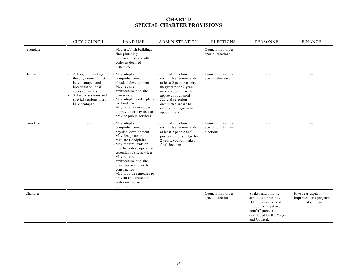#### **CHART D SPECIAL CHARTER PROVISIONS**

|               | <b>CITY COUNCIL</b>                                                                                                                                                                 | <b>LAND USE</b>                                                                                                                                                                                                                                                                                                                                                               | <b>ADMINISTRATION</b>                                                                                                                                                                                                                      | <b>ELECTIONS</b>                                        | PERSONNEL                                                                                                                                                     | <b>FINANCE</b>                                                     |
|---------------|-------------------------------------------------------------------------------------------------------------------------------------------------------------------------------------|-------------------------------------------------------------------------------------------------------------------------------------------------------------------------------------------------------------------------------------------------------------------------------------------------------------------------------------------------------------------------------|--------------------------------------------------------------------------------------------------------------------------------------------------------------------------------------------------------------------------------------------|---------------------------------------------------------|---------------------------------------------------------------------------------------------------------------------------------------------------------------|--------------------------------------------------------------------|
| Avondale      | $---$                                                                                                                                                                               | - May establish building,<br>fire, plumbing,<br>electrical, gas and other<br>codes as deemed<br>necessary                                                                                                                                                                                                                                                                     | $---$                                                                                                                                                                                                                                      | - Council may order<br>special elections                | $- - -$                                                                                                                                                       | $---$                                                              |
| <b>Bisbee</b> | All regular meetings of<br>the city council must<br>be videotaped and<br>broadcast on local<br>access channels.<br>All work sessions and<br>special sessions must<br>be videotaped. | - May adopt a<br>comprehensive plan for<br>physical development<br>- May require<br>architectural and site<br>plan review<br>- May adopt specific plans<br>for land use<br>- May require developers<br>to provide or pay fees to<br>provide public services                                                                                                                   | - Judicial selection<br>committee recommends<br>at least 2 people as city<br>magistrate for 2 years;<br>mayor appoints with<br>approval of council<br>- Judicial selection<br>committee ceases to<br>exist after magistrate<br>appointment | - Council may order<br>special elections                | ---                                                                                                                                                           | $---$                                                              |
| Casa Grande   | $---$                                                                                                                                                                               | - May adopt a<br>comprehensive plan for<br>physical development<br>- May designate and<br>regulate floodplains<br>- May require lands or<br>fees from developers for<br>essential public services<br>- May require<br>architectural and site<br>plan approval prior to<br>construction<br>- May provide remedies to<br>prevent and abate air,<br>water and noise<br>pollution | - Judicial selection<br>committee recommends<br>at least 2 people to fill<br>position of city judge for<br>2 years; council makes<br>final decision                                                                                        | - Council may order<br>special or advisory<br>elections | ---                                                                                                                                                           | $---$                                                              |
| Chandler      | $---$                                                                                                                                                                               | $---$                                                                                                                                                                                                                                                                                                                                                                         | $---$                                                                                                                                                                                                                                      | - Council may order<br>special elections                | - Strikes and binding<br>arbitration prohibited.<br>Differences resolved<br>through a "meet and<br>confer" process,<br>developed by the Mayor<br>and Council. | - Five year capital<br>improvements program<br>submitted each year |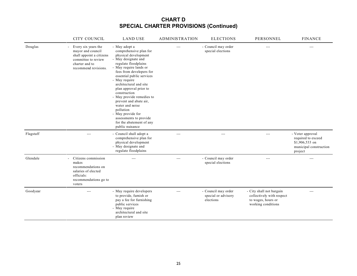|           | CITY COUNCIL                                                                                                                          | <b>LAND USE</b>                                                                                                                                                                                                                                                                                                                                                                                                                                                             | <b>ADMINISTRATION</b> | <b>ELECTIONS</b>                                        | PERSONNEL                                                                                         | <b>FINANCE</b>                                                                                |
|-----------|---------------------------------------------------------------------------------------------------------------------------------------|-----------------------------------------------------------------------------------------------------------------------------------------------------------------------------------------------------------------------------------------------------------------------------------------------------------------------------------------------------------------------------------------------------------------------------------------------------------------------------|-----------------------|---------------------------------------------------------|---------------------------------------------------------------------------------------------------|-----------------------------------------------------------------------------------------------|
| Douglas   | Every six years the<br>mayor and council<br>shall appoint a citizens<br>committee to review<br>charter and to<br>recommend revisions. | - May adopt a<br>comprehensive plan for<br>physical development<br>- May designate and<br>regulate floodplains<br>- May require lands or<br>fees from developers for<br>essential public services<br>- May require<br>architectural and site<br>plan approval prior to<br>construction<br>- May provide remedies to<br>prevent and abate air,<br>water and noise<br>pollution<br>- May provide for<br>assessments to provide<br>for the abatement of any<br>public nuisance |                       | - Council may order<br>special elections                | ---                                                                                               | $---$                                                                                         |
| Flagstaff | $---$                                                                                                                                 | - Council shall adopt a<br>comprehensive plan for<br>physical development<br>- May designate and<br>regulate floodplains                                                                                                                                                                                                                                                                                                                                                    | $---$                 | $---$                                                   | $---$                                                                                             | - Voter approval<br>required to exceed<br>\$1,906,533 on<br>municipal construction<br>project |
| Glendale  | - Citizens commission<br>makes<br>recommendations on<br>salaries of elected<br>officials:<br>recommendations go to<br>voters          | ---                                                                                                                                                                                                                                                                                                                                                                                                                                                                         | $---$                 | - Council may order<br>special elections                | $---$                                                                                             | ---                                                                                           |
| Goodyear  | $---$                                                                                                                                 | - May require developers<br>to provide, furnish or<br>pay a fee for furnishing<br>public services<br>- May require<br>architectural and site<br>plan review                                                                                                                                                                                                                                                                                                                 | $\qquad \qquad -$     | - Council may order<br>special or advisory<br>elections | - City shall not bargain<br>collectively with respect<br>to wages, hours or<br>working conditions | $---$                                                                                         |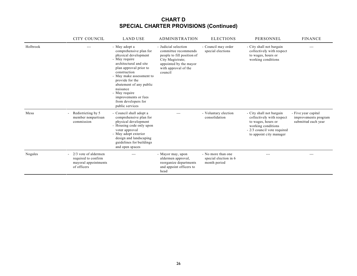|          | <b>CITY COUNCIL</b>                                                                  | <b>LAND USE</b>                                                                                                                                                                                                                                                                                                               | <b>ADMINISTRATION</b>                                                                                                                                       | <b>ELECTIONS</b>                                            | PERSONNEL                                                                                                                                                   | <b>FINANCE</b>                                                     |
|----------|--------------------------------------------------------------------------------------|-------------------------------------------------------------------------------------------------------------------------------------------------------------------------------------------------------------------------------------------------------------------------------------------------------------------------------|-------------------------------------------------------------------------------------------------------------------------------------------------------------|-------------------------------------------------------------|-------------------------------------------------------------------------------------------------------------------------------------------------------------|--------------------------------------------------------------------|
| Holbrook |                                                                                      | - May adopt a<br>comprehensive plan for<br>physical development<br>- May require<br>architectural and site<br>plan approval prior to<br>construction<br>- May make assessment to<br>provide for the<br>abatement of any public<br>nuisance<br>- May require<br>improvements or fees<br>from developers for<br>public services | - Judicial selection<br>committee recommends<br>people to fill position of<br>City Magistrate;<br>appointed by the mayor<br>with approval of the<br>council | - Council may order<br>special elections                    | - City shall not bargain<br>collectively with respect<br>to wages, hours or<br>working conditions                                                           | ---                                                                |
| Mesa     | Redistricting by 5<br>member nonpartisan<br>commission                               | - Council shall adopt a<br>comprehensive plan for<br>physical development<br>- Housing code only upon<br>voter approval<br>- May adopt exterior<br>design and landscaping<br>guidelines for buildings<br>and open spaces                                                                                                      |                                                                                                                                                             | - Voluntary election<br>consolidation                       | - City shall not bargain<br>collectively with respect<br>to wages, hours or<br>working conditions<br>- 2/3 council vote required<br>to appoint city manager | - Five year capital<br>improvements program<br>submitted each year |
| Nogales  | $2/3$ vote of aldermen<br>required to confirm<br>mayoral appointments<br>of officers |                                                                                                                                                                                                                                                                                                                               | - Mayor may, upon<br>aldermen approval,<br>reorganize departments<br>and appoint officers to<br>head                                                        | - No more than one<br>special election in 6<br>month period |                                                                                                                                                             |                                                                    |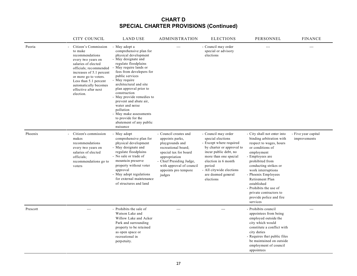|          | <b>CITY COUNCIL</b>                                                                                                                                                                                                                                                   | <b>LAND USE</b>                                                                                                                                                                                                                                                                                                                                                                                                                                          | <b>ADMINISTRATION</b>                                                                                                                                                                                                  | <b>ELECTIONS</b>                                                                                                                                                                                                                                   | PERSONNEL                                                                                                                                                                                                                                                                                                                                                     | <b>FINANCE</b>                      |
|----------|-----------------------------------------------------------------------------------------------------------------------------------------------------------------------------------------------------------------------------------------------------------------------|----------------------------------------------------------------------------------------------------------------------------------------------------------------------------------------------------------------------------------------------------------------------------------------------------------------------------------------------------------------------------------------------------------------------------------------------------------|------------------------------------------------------------------------------------------------------------------------------------------------------------------------------------------------------------------------|----------------------------------------------------------------------------------------------------------------------------------------------------------------------------------------------------------------------------------------------------|---------------------------------------------------------------------------------------------------------------------------------------------------------------------------------------------------------------------------------------------------------------------------------------------------------------------------------------------------------------|-------------------------------------|
| Peoria   | Citizen's Commission<br>to make<br>recommendations<br>every two years on<br>salaries of elected<br>officials; recommended<br>increases of 5.1 percent<br>or more go to voters.<br>Less than 5.1 percent<br>automatically becomes<br>effective after next<br>election. | - May adopt a<br>comprehensive plan for<br>physical development<br>- May designate and<br>regulate floodplains<br>May require lands or<br>fees from developers for<br>public services<br>- May require<br>architectural and site<br>plan approval prior to<br>construction<br>- May provide remedies to<br>prevent and abate air,<br>water and noise<br>pollution<br>- May make assessments<br>to provide for the<br>abatement of any public<br>nuisance | ---                                                                                                                                                                                                                    | - Council may order<br>special or advisory<br>elections                                                                                                                                                                                            | $-$                                                                                                                                                                                                                                                                                                                                                           | ---                                 |
| Phoenix  | Citizen's commission<br>makes<br>recommendations<br>every two years on<br>salaries of elected<br>officials;<br>recommendations go to<br>voters                                                                                                                        | - May adopt<br>comprehensive plan for<br>physical development<br>- May designate and<br>regulate floodplains<br>- No sale or trade of<br>mountain preserve<br>property without voter<br>approval<br>- May adopt regulations<br>for external maintenance<br>of structures and land                                                                                                                                                                        | - Council creates and<br>appoints parks,<br>playgrounds and<br>recreational board;<br>special tax for board<br>appropriation<br>- Chief Presiding Judge,<br>with approval of council<br>appoints pro tempore<br>judges | - Council may order<br>special elections<br>- Except where required<br>by charter or approval to<br>incur public debt, no<br>more than one special<br>election in 6 month<br>period<br>- All citywide elections<br>are deemed general<br>elections | - City shall not enter into<br>binding arbitration with<br>respect to wages, hours<br>or conditions of<br>employment<br>- Employees are<br>prohibited from<br>conducting strikes or<br>work interruptions<br>- Phoenix Employees<br>Retirement Plan<br>established<br>- Prohibits the use of<br>private contractors to<br>provide police and fire<br>services | - Five year capital<br>improvements |
| Prescott | $-$ --                                                                                                                                                                                                                                                                | - Prohibits the sale of<br>Watson Lake and<br>Willow Lake and Acker<br>Park and surrounding<br>property to be retained<br>as open space or<br>recreational in<br>perpetuity.                                                                                                                                                                                                                                                                             | $- - -$                                                                                                                                                                                                                | ---                                                                                                                                                                                                                                                | - Prohibits council<br>appointees from being<br>employed outside the<br>city which would<br>constitute a conflict with<br>city duties<br>- Requires that public files<br>be maintained on outside<br>employment of council<br>appointees                                                                                                                      | ---                                 |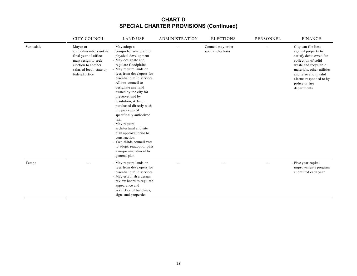|            | CITY COUNCIL                                                                                                                                            | <b>LAND USE</b>                                                                                                                                                                                                                                                                                                                                                                                                                                                                                                                                                                          | <b>ADMINISTRATION</b> | <b>ELECTIONS</b>                         | PERSONNEL | <b>FINANCE</b>                                                                                                                                                                                                                          |
|------------|---------------------------------------------------------------------------------------------------------------------------------------------------------|------------------------------------------------------------------------------------------------------------------------------------------------------------------------------------------------------------------------------------------------------------------------------------------------------------------------------------------------------------------------------------------------------------------------------------------------------------------------------------------------------------------------------------------------------------------------------------------|-----------------------|------------------------------------------|-----------|-----------------------------------------------------------------------------------------------------------------------------------------------------------------------------------------------------------------------------------------|
| Scottsdale | - Mayor or<br>councilmembers not in<br>final year of office<br>must resign to seek<br>election to another<br>salaried local, state or<br>federal office | - May adopt a<br>comprehensive plan for<br>physical development<br>- May designate and<br>regulate floodplains<br>- May require lands or<br>fees from developers for<br>essential public services.<br>Allows council to<br>designate any land<br>owned by the city for<br>preserve land by<br>resolution, & land<br>purchased directly with<br>the proceeds of<br>specifically authorized<br>tax.<br>- May require<br>architectural and site<br>plan approval prior to<br>construction<br>- Two-thirds council vote<br>to adopt, readopt or pass<br>a major amendment to<br>general plan |                       | - Council may order<br>special elections | $---$     | - City can file liens<br>against property to<br>satisfy debts owed for<br>collection of solid<br>waste and recyclable<br>materials, other utilities<br>and false and invalid<br>alarms responded to by<br>police or fire<br>departments |
| Tempe      | $- - -$                                                                                                                                                 | - May require lands or<br>fees from developers for<br>essential public services<br>- May establish a design<br>review board to regulate<br>appearance and<br>aesthetics of buildings,<br>signs and properties                                                                                                                                                                                                                                                                                                                                                                            | $---$                 | $---$                                    | $---$     | - Five year capital<br>improvements program<br>submitted each year                                                                                                                                                                      |